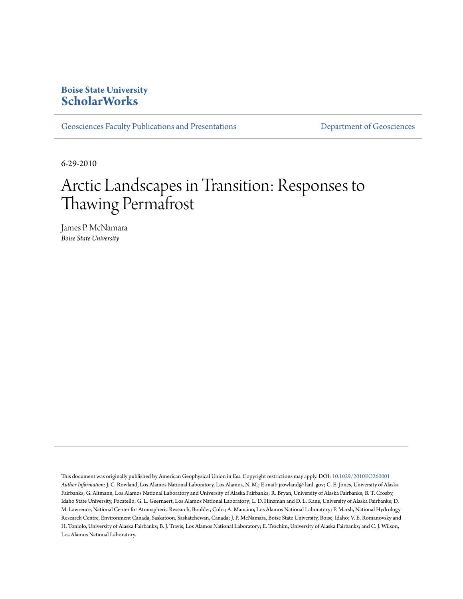### **Boise State University [ScholarWorks](https://scholarworks.boisestate.edu)**

[Geosciences Faculty Publications and Presentations](https://scholarworks.boisestate.edu/geo_facpubs) **Example 2018** [Department of Geosciences](https://scholarworks.boisestate.edu/geosciences)

6-29-2010

## Arctic Landscapes in Transition: Responses to Thawing Permafrost

James P. McNamara *Boise State University*

This document was originally published by American Geophysical Union in *Eos*. Copyright restrictions may apply. DOI: [10.1029/2010EO260001](http://dx.doi.org/10.1029/2010EO260001) *Author Information:* J. C. Rowland, Los Alamos National Laboratory, Los Alamos, N. M.; E-mail: jrowland@ lanl .gov; C. E. Jones, University of Alaska Fairbanks; G. Altmann, Los Alamos National Laboratory and University of Alaska Fairbanks; R. Bryan, University of Alaska Fairbanks; B. T. Crosby, Idaho State University, Pocatello; G. L. Geernaert, Los Alamos National Laboratory; L. D. Hinzman and D. L. Kane, University of Alaska Fairbanks; D. M. Lawrence, National Center for Atmospheric Research, Boulder, Colo.; A. Mancino, Los Alamos National Laboratory; P. Marsh, National Hydrology Research Centre, Environment Canada, Saskatoon, Saskatchewan, Canada; J. P. McNamara, Boise State University, Boise, Idaho; V. E. Romanovsky and H. Toniolo, University of Alaska Fairbanks; B. J. Travis, Los Alamos National Laboratory; E. Trochim, University of Alaska Fairbanks; and C. J. Wilson, Los Alamos National Laboratory.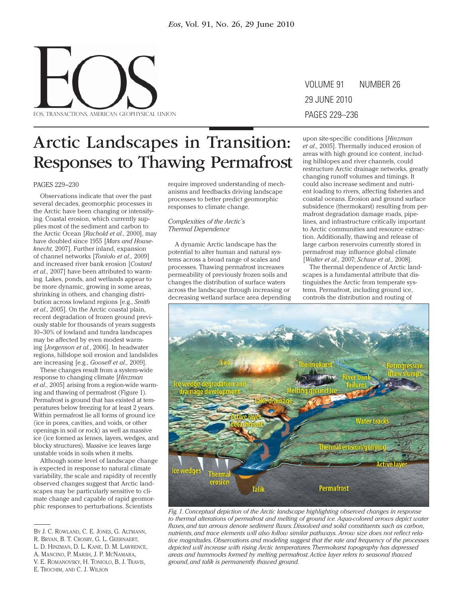

### VOLUME 91 NUMBER 26 29 JUNE 2010 PAGES 229–236

# Arctic Landscapes in Transition: Responses to Thawing Permafrost

#### PAGES 229–230

Observations indicate that over the past several decades, geomorphic processes in the Arctic have been changing or intensifying. Coastal erosion, which currently supplies most of the sediment and carbon to the Arctic Ocean [*Rachold et al.,* 2000], may have doubled since 1955 [*Mars and Houseknecht,* 2007]. Further inland, expansion of channel networks [*Toniolo et al.,* 2009] and increased river bank erosion [*Costard et al.,* 2007] have been attributed to warming. Lakes, ponds, and wetlands appear to be more dynamic, growing in some areas, shrinking in others, and changing distribution across lowland regions [e.g., *Smith et al.,* 2005]. On the Arctic coastal plain, recent degradation of frozen ground previously stable for thousands of years suggests 10–30% of lowland and tundra landscapes may be affected by even modest warming [*Jorgenson et al.*, 2006]. In headwater regions, hillslope soil erosion and landslides are increasing [e.g., *Gooseff et al.,* 2009].

These changes result from a system-wide response to changing climate [*Hinzman et al.,* 2005] arising from a region-wide warming and thawing of permafrost (Figure 1). Permafrost is ground that has existed at temperatures below freezing for at least 2 years. Within permafrost lie all forms of ground ice (ice in pores, cavities, and voids, or other openings in soil or rock) as well as massive ice (ice formed as lenses, layers, wedges, and blocky structures). Massive ice leaves large unstable voids in soils when it melts.

Although some level of landscape change is expected in response to natural climate variability, the scale and rapidity of recently observed changes suggest that Arctic landscapes may be particularly sensitive to climate change and capable of rapid geomorphic responses to perturbations. Scientists

- R. BRYAN, B. T. CROSBY, G. L. GEERNAERT,
- L. D. HINZMAN, D. L. KANE, D. M. LAWRENCE,
- A. MANCINO, P. MARSH, J. P. MCNAMARA,
- V. E. ROMANOVSKY, H. TONIOLO, B. J. TRAVIS,
- E. TROCHIM, AND C. J. WILSON

require improved understanding of mechanisms and feedbacks driving landscape processes to better predict geomorphic responses to climate change.

#### *Complexities of the Arctic's Thermal Dependence*

A dynamic Arctic landscape has the potential to alter human and natural systems across a broad range of scales and processes. Thawing permafrost increases permeability of previously frozen soils and changes the distribution of surface waters across the landscape through increasing or decreasing wetland surface area depending upon site- specific conditions [*Hinzman et al.,* 2005]. Thermally induced erosion of areas with high ground ice content, including hillslopes and river channels, could restructure Arctic drainage networks, greatly changing runoff volumes and timings. It could also increase sediment and nutrient loading to rivers, affecting fisheries and coastal oceans. Erosion and ground surface subsidence (thermokarst) resulting from permafrost degradation damage roads, pipelines, and infrastructure critically important to Arctic communities and resource extraction. Additionally, thawing and release of large carbon reservoirs currently stored in permafrost may influence global climate [*Walter et al.,* 2007; *Schuur et al.,* 2008].

The thermal dependence of Arctic landscapes is a fundamental attribute that distinguishes the Arctic from temperate systems. Permafrost, including ground ice, controls the distribution and routing of



*Fig. 1. Conceptual depiction of the Arctic landscape highlighting observed changes in response to thermal alterations of permafrost and melting of ground ice. Aqua- colored arrows depict water fluxes, and tan arrows denote sediment fluxes. Dissolved and solid constituents such as carbon, nutrients, and trace elements will also follow similar pathways. Arrow size does not reflect relative magnitudes. Observations and modeling suggest that the rate and frequency of the processes depicted will increase with rising Arctic temperatures. Thermokarst topography has depressed areas and hummocks formed by melting permafrost. Active layer refers to seasonal thawed ground, and talik is permanently thawed ground.* 

BY J. C. ROWLAND, C. E. JONES, G. ALTMANN,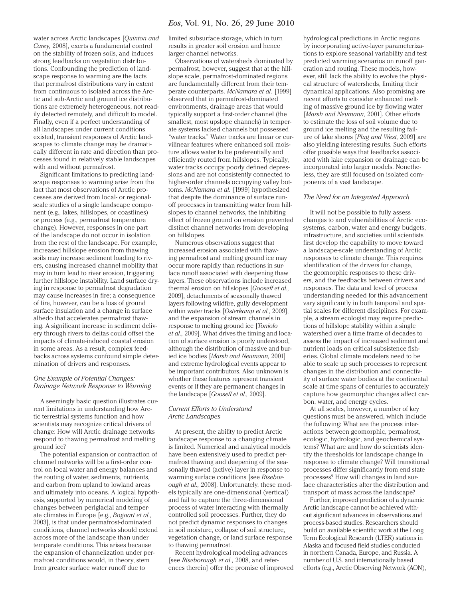water across Arctic landscapes [*Quinton and Carey,* 2008], exerts a fundamental control on the stability of frozen soils, and induces strong feedbacks on vegetation distributions. Confounding the prediction of landscape response to warming are the facts that permafrost distributions vary in extent from continuous to isolated across the Arctic and sub- Arctic and ground ice distributions are extremely heterogeneous, not readily detected remotely, and difficult to model. Finally, even if a perfect understanding of all landscapes under current conditions existed, transient responses of Arctic landscapes to climate change may be dramatically different in rate and direction than processes found in relatively stable landscapes with and without permafrost.

Significant limitations to predicting landscape responses to warming arise from the fact that most observations of Arctic processes are derived from local- or regionalscale studies of a single landscape component (e.g., lakes, hillslopes, or coastlines) or process (e.g., permafrost temperature change). However, responses in one part of the landscape do not occur in isolation from the rest of the landscape. For example, increased hillslope erosion from thawing soils may increase sediment loading to rivers, causing increased channel mobility that may in turn lead to river erosion, triggering further hillslope instability. Land surface drying in response to permafrost degradation may cause increases in fire; a consequence of fire, however, can be a loss of ground surface insulation and a change in surface albedo that accelerates permafrost thawing. A significant increase in sediment delivery through rivers to deltas could offset the impacts of climate-induced coastal erosion in some areas. As a result, complex feedbacks across systems confound simple determination of drivers and responses.

#### *One Example of Potential Changes: Drainage Network Response to Warming*

A seemingly basic question illustrates current limitations in understanding how Arctic terrestrial systems function and how scientists may recognize critical drivers of change: How will Arctic drainage networks respond to thawing permafrost and melting ground ice?

The potential expansion or contraction of channel networks will be a first-order control on local water and energy balances and the routing of water, sediments, nutrients, and carbon from upland to lowland areas and ultimately into oceans. A logical hypothesis, supported by numerical modeling of changes between periglacial and temperate climates in Europe [e.g., *Bogaart et al.,* 2003], is that under permafrost- dominated conditions, channel networks should extend across more of the landscape than under temperate conditions. This arises because the expansion of channelization under permafrost conditions would, in theory, stem from greater surface water runoff due to

limited subsurface storage, which in turn results in greater soil erosion and hence larger channel networks.

Observations of watersheds dominated by permafrost, however, suggest that at the hillslope scale, permafrost- dominated regions are fundamentally different from their temperate counterparts. *McNamara et al.* [1999] observed that in permafrost- dominated environments, drainage areas that would typically support a first-order channel (the smallest, most upslope channels) in temperate systems lacked channels but possessed "water tracks." Water tracks are linear or curvilinear features where enhanced soil moisture allows water to be preferentially and efficiently routed from hillslopes. Typically, water tracks occupy poorly defined depressions and are not consistently connected to higher-order channels occupying valley bottoms. *McNamara et al.* [1999] hypothesized that despite the dominance of surface runoff processes in transmitting water from hillslopes to channel networks, the inhibiting effect of frozen ground on erosion prevented distinct channel networks from developing on hillslopes.

Numerous observations suggest that increased erosion associated with thawing permafrost and melting ground ice may occur more rapidly than reductions in surface runoff associated with deepening thaw layers. These observations include increased thermal erosion on hillslopes [*Gooseff et al.,* 2009], detachments of seasonally thawed layers following wildfire, gully development within water tracks [*Osterkamp et al.,* 2009], and the expansion of stream channels in response to melting ground ice [*Toniolo et al.,* 2009]. What drives the timing and location of surface erosion is poorly understood, although the distribution of massive and buried ice bodies [*Marsh and Neumann,* 2001] and extreme hydrological events appear to be important contributors. Also unknown is whether these features represent transient events or if they are permanent changes in the landscape [*Gooseff et al.,* 2009].

#### *Current Efforts to Understand Arctic Landscapes*

At present, the ability to predict Arctic landscape response to a changing climate is limited. Numerical and analytical models have been extensively used to predict permafrost thawing and deepening of the seasonally thawed (active) layer in response to warming surface conditions [see *Riseborough et al.,* 2008]. Unfortunately, these models typically are one- dimensional (vertical) and fail to capture the three-dimensional process of water interacting with thermally controlled soil processes. Further, they do not predict dynamic responses to changes in soil moisture, collapse of soil structure, vegetation change, or land surface response to thawing permafrost.

Recent hydrological modeling advances [see *Riseborough et al.,* 2008, and references therein] offer the promise of improved hydrological predictions in Arctic regions by incorporating active-layer parameterizations to explore seasonal variability and test predicted warming scenarios on runoff generation and routing. These models, however, still lack the ability to evolve the physical structure of watersheds, limiting their dynamical applications. Also promising are recent efforts to consider enhanced melting of massive ground ice by flowing water [*Marsh and Neumann,* 2001]. Other efforts to estimate the loss of soil volume due to ground ice melting and the resulting failure of lake shores [*Plug and West,* 2009] are also yielding interesting results. Such efforts offer possible ways that feedbacks associated with lake expansion or drainage can be incorporated into larger models. Nonetheless, they are still focused on isolated components of a vast landscape.

#### *The Need for an Integrated Approach*

It will not be possible to fully assess changes to and vulnerabilities of Arctic ecosystems, carbon, water and energy budgets, infrastructure, and societies until scientists first develop the capability to move toward a landscape- scale understanding of Arctic responses to climate change. This requires identification of the drivers for change, the geomorphic responses to these drivers, and the feedbacks between drivers and responses. The data and level of process understanding needed for this advancement vary significantly in both temporal and spatial scales for different disciplines. For example, a stream ecologist may require predictions of hillslope stability within a single watershed over a time frame of decades to assess the impact of increased sediment and nutrient loads on critical subsistence fisheries. Global climate modelers need to be able to scale up such processes to represent changes in the distribution and connectivity of surface water bodies at the continental scale at time spans of centuries to accurately capture how geomorphic changes affect carbon, water, and energy cycles.

At all scales, however, a number of key questions must be answered, which include the following: What are the process interactions between geomorphic, permafrost, ecologic, hydrologic, and geochemical systems? What are and how do scientists identify the thresholds for landscape change in response to climate change? Will transitional processes differ significantly from end state processes? How will changes in land surface characteristics alter the distribution and transport of mass across the landscape?

Further, improved prediction of a dynamic Arctic landscape cannot be achieved without significant advances in observations and process-based studies. Researchers should build on available scientific work at the Long Term Ecological Research (LTER) stations in Alaska and focused field studies conducted in northern Canada, Europe, and Russia. A number of U.S. and internationally based efforts (e.g., Arctic Observing Network (AON),